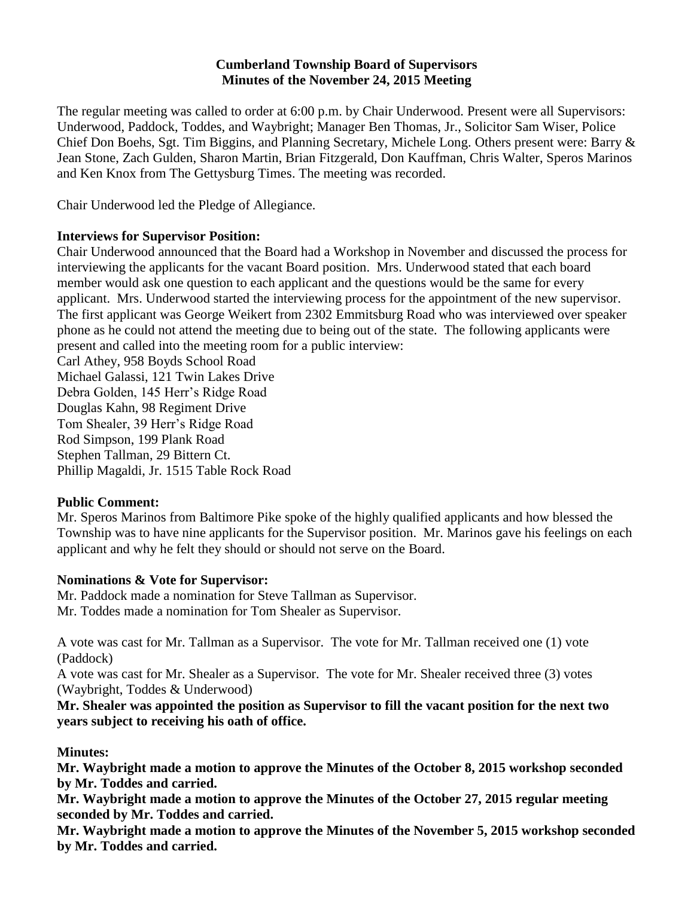### **Cumberland Township Board of Supervisors Minutes of the November 24, 2015 Meeting**

The regular meeting was called to order at 6:00 p.m. by Chair Underwood. Present were all Supervisors: Underwood, Paddock, Toddes, and Waybright; Manager Ben Thomas, Jr., Solicitor Sam Wiser, Police Chief Don Boehs, Sgt. Tim Biggins, and Planning Secretary, Michele Long. Others present were: Barry & Jean Stone, Zach Gulden, Sharon Martin, Brian Fitzgerald, Don Kauffman, Chris Walter, Speros Marinos and Ken Knox from The Gettysburg Times. The meeting was recorded.

Chair Underwood led the Pledge of Allegiance.

### **Interviews for Supervisor Position:**

Chair Underwood announced that the Board had a Workshop in November and discussed the process for interviewing the applicants for the vacant Board position. Mrs. Underwood stated that each board member would ask one question to each applicant and the questions would be the same for every applicant. Mrs. Underwood started the interviewing process for the appointment of the new supervisor. The first applicant was George Weikert from 2302 Emmitsburg Road who was interviewed over speaker phone as he could not attend the meeting due to being out of the state. The following applicants were present and called into the meeting room for a public interview:

Carl Athey, 958 Boyds School Road Michael Galassi, 121 Twin Lakes Drive Debra Golden, 145 Herr's Ridge Road Douglas Kahn, 98 Regiment Drive Tom Shealer, 39 Herr's Ridge Road Rod Simpson, 199 Plank Road Stephen Tallman, 29 Bittern Ct. Phillip Magaldi, Jr. 1515 Table Rock Road

## **Public Comment:**

Mr. Speros Marinos from Baltimore Pike spoke of the highly qualified applicants and how blessed the Township was to have nine applicants for the Supervisor position. Mr. Marinos gave his feelings on each applicant and why he felt they should or should not serve on the Board.

## **Nominations & Vote for Supervisor:**

Mr. Paddock made a nomination for Steve Tallman as Supervisor. Mr. Toddes made a nomination for Tom Shealer as Supervisor.

A vote was cast for Mr. Tallman as a Supervisor. The vote for Mr. Tallman received one (1) vote (Paddock)

A vote was cast for Mr. Shealer as a Supervisor. The vote for Mr. Shealer received three (3) votes (Waybright, Toddes & Underwood)

**Mr. Shealer was appointed the position as Supervisor to fill the vacant position for the next two years subject to receiving his oath of office.**

## **Minutes:**

**Mr. Waybright made a motion to approve the Minutes of the October 8, 2015 workshop seconded by Mr. Toddes and carried.** 

**Mr. Waybright made a motion to approve the Minutes of the October 27, 2015 regular meeting seconded by Mr. Toddes and carried.** 

**Mr. Waybright made a motion to approve the Minutes of the November 5, 2015 workshop seconded by Mr. Toddes and carried.**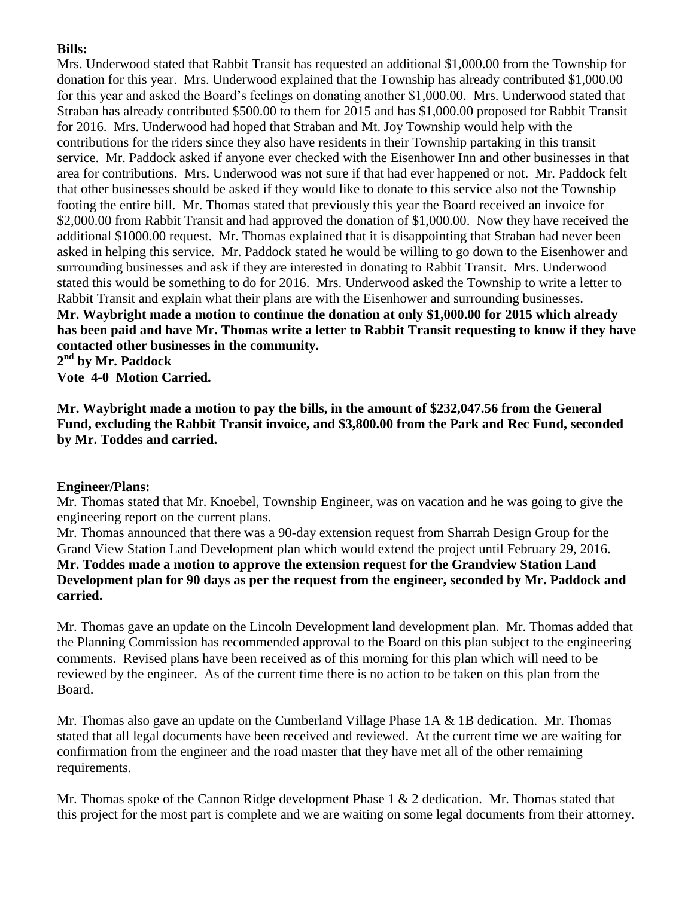## **Bills:**

Mrs. Underwood stated that Rabbit Transit has requested an additional \$1,000.00 from the Township for donation for this year. Mrs. Underwood explained that the Township has already contributed \$1,000.00 for this year and asked the Board's feelings on donating another \$1,000.00. Mrs. Underwood stated that Straban has already contributed \$500.00 to them for 2015 and has \$1,000.00 proposed for Rabbit Transit for 2016. Mrs. Underwood had hoped that Straban and Mt. Joy Township would help with the contributions for the riders since they also have residents in their Township partaking in this transit service. Mr. Paddock asked if anyone ever checked with the Eisenhower Inn and other businesses in that area for contributions. Mrs. Underwood was not sure if that had ever happened or not. Mr. Paddock felt that other businesses should be asked if they would like to donate to this service also not the Township footing the entire bill. Mr. Thomas stated that previously this year the Board received an invoice for \$2,000.00 from Rabbit Transit and had approved the donation of \$1,000.00. Now they have received the additional \$1000.00 request. Mr. Thomas explained that it is disappointing that Straban had never been asked in helping this service. Mr. Paddock stated he would be willing to go down to the Eisenhower and surrounding businesses and ask if they are interested in donating to Rabbit Transit. Mrs. Underwood stated this would be something to do for 2016. Mrs. Underwood asked the Township to write a letter to Rabbit Transit and explain what their plans are with the Eisenhower and surrounding businesses. **Mr. Waybright made a motion to continue the donation at only \$1,000.00 for 2015 which already has been paid and have Mr. Thomas write a letter to Rabbit Transit requesting to know if they have contacted other businesses in the community.**

**2 nd by Mr. Paddock Vote 4-0 Motion Carried.**

**Mr. Waybright made a motion to pay the bills, in the amount of \$232,047.56 from the General Fund, excluding the Rabbit Transit invoice, and \$3,800.00 from the Park and Rec Fund, seconded by Mr. Toddes and carried.**

## **Engineer/Plans:**

Mr. Thomas stated that Mr. Knoebel, Township Engineer, was on vacation and he was going to give the engineering report on the current plans.

Mr. Thomas announced that there was a 90-day extension request from Sharrah Design Group for the Grand View Station Land Development plan which would extend the project until February 29, 2016. **Mr. Toddes made a motion to approve the extension request for the Grandview Station Land Development plan for 90 days as per the request from the engineer, seconded by Mr. Paddock and carried.** 

Mr. Thomas gave an update on the Lincoln Development land development plan. Mr. Thomas added that the Planning Commission has recommended approval to the Board on this plan subject to the engineering comments. Revised plans have been received as of this morning for this plan which will need to be reviewed by the engineer. As of the current time there is no action to be taken on this plan from the Board.

Mr. Thomas also gave an update on the Cumberland Village Phase 1A & 1B dedication. Mr. Thomas stated that all legal documents have been received and reviewed. At the current time we are waiting for confirmation from the engineer and the road master that they have met all of the other remaining requirements.

Mr. Thomas spoke of the Cannon Ridge development Phase 1 & 2 dedication. Mr. Thomas stated that this project for the most part is complete and we are waiting on some legal documents from their attorney.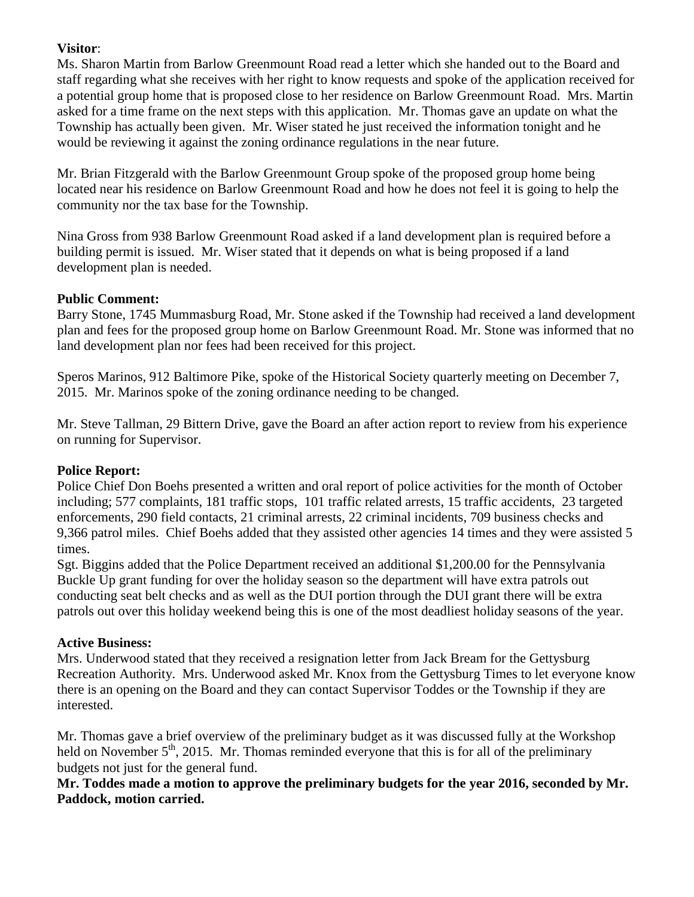## **Visitor**:

Ms. Sharon Martin from Barlow Greenmount Road read a letter which she handed out to the Board and staff regarding what she receives with her right to know requests and spoke of the application received for a potential group home that is proposed close to her residence on Barlow Greenmount Road. Mrs. Martin asked for a time frame on the next steps with this application. Mr. Thomas gave an update on what the Township has actually been given. Mr. Wiser stated he just received the information tonight and he would be reviewing it against the zoning ordinance regulations in the near future.

Mr. Brian Fitzgerald with the Barlow Greenmount Group spoke of the proposed group home being located near his residence on Barlow Greenmount Road and how he does not feel it is going to help the community nor the tax base for the Township.

Nina Gross from 938 Barlow Greenmount Road asked if a land development plan is required before a building permit is issued. Mr. Wiser stated that it depends on what is being proposed if a land development plan is needed.

## **Public Comment:**

Barry Stone, 1745 Mummasburg Road, Mr. Stone asked if the Township had received a land development plan and fees for the proposed group home on Barlow Greenmount Road. Mr. Stone was informed that no land development plan nor fees had been received for this project.

Speros Marinos, 912 Baltimore Pike, spoke of the Historical Society quarterly meeting on December 7, 2015. Mr. Marinos spoke of the zoning ordinance needing to be changed.

Mr. Steve Tallman, 29 Bittern Drive, gave the Board an after action report to review from his experience on running for Supervisor.

# **Police Report:**

Police Chief Don Boehs presented a written and oral report of police activities for the month of October including; 577 complaints, 181 traffic stops, 101 traffic related arrests, 15 traffic accidents, 23 targeted enforcements, 290 field contacts, 21 criminal arrests, 22 criminal incidents, 709 business checks and 9,366 patrol miles. Chief Boehs added that they assisted other agencies 14 times and they were assisted 5 times.

Sgt. Biggins added that the Police Department received an additional \$1,200.00 for the Pennsylvania Buckle Up grant funding for over the holiday season so the department will have extra patrols out conducting seat belt checks and as well as the DUI portion through the DUI grant there will be extra patrols out over this holiday weekend being this is one of the most deadliest holiday seasons of the year.

# **Active Business:**

Mrs. Underwood stated that they received a resignation letter from Jack Bream for the Gettysburg Recreation Authority. Mrs. Underwood asked Mr. Knox from the Gettysburg Times to let everyone know there is an opening on the Board and they can contact Supervisor Toddes or the Township if they are interested.

Mr. Thomas gave a brief overview of the preliminary budget as it was discussed fully at the Workshop held on November  $5<sup>th</sup>$ , 2015. Mr. Thomas reminded everyone that this is for all of the preliminary budgets not just for the general fund.

## **Mr. Toddes made a motion to approve the preliminary budgets for the year 2016, seconded by Mr. Paddock, motion carried.**